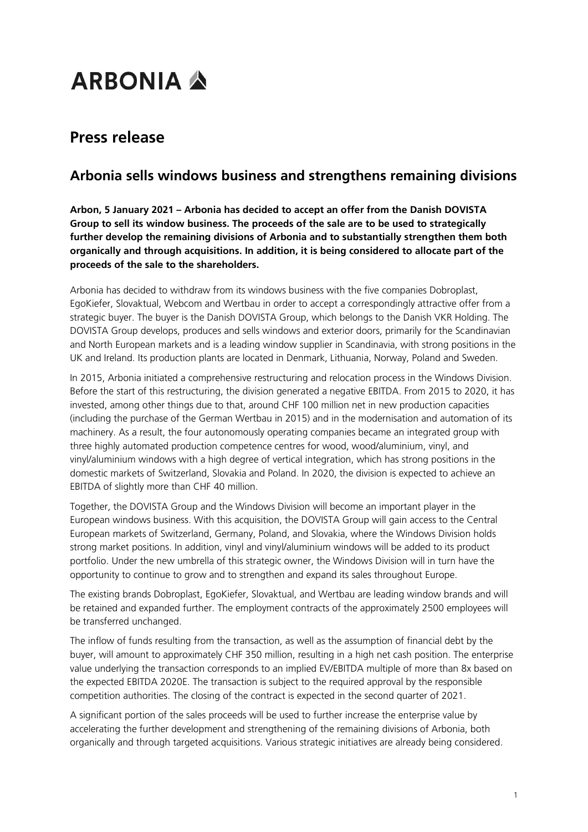## **ARBONIA A**

## **Press release**

## **Arbonia sells windows business and strengthens remaining divisions**

**Arbon, 5 January 2021 – Arbonia has decided to accept an offer from the Danish DOVISTA Group to sell its window business. The proceeds of the sale are to be used to strategically further develop the remaining divisions of Arbonia and to substantially strengthen them both organically and through acquisitions. In addition, it is being considered to allocate part of the proceeds of the sale to the shareholders.**

Arbonia has decided to withdraw from its windows business with the five companies Dobroplast, EgoKiefer, Slovaktual, Webcom and Wertbau in order to accept a correspondingly attractive offer from a strategic buyer. The buyer is the Danish DOVISTA Group, which belongs to the Danish VKR Holding. The DOVISTA Group develops, produces and sells windows and exterior doors, primarily for the Scandinavian and North European markets and is a leading window supplier in Scandinavia, with strong positions in the UK and Ireland. Its production plants are located in Denmark, Lithuania, Norway, Poland and Sweden.

In 2015, Arbonia initiated a comprehensive restructuring and relocation process in the Windows Division. Before the start of this restructuring, the division generated a negative EBITDA. From 2015 to 2020, it has invested, among other things due to that, around CHF 100 million net in new production capacities (including the purchase of the German Wertbau in 2015) and in the modernisation and automation of its machinery. As a result, the four autonomously operating companies became an integrated group with three highly automated production competence centres for wood, wood/aluminium, vinyl, and vinyl/aluminium windows with a high degree of vertical integration, which has strong positions in the domestic markets of Switzerland, Slovakia and Poland. In 2020, the division is expected to achieve an EBITDA of slightly more than CHF 40 million.

Together, the DOVISTA Group and the Windows Division will become an important player in the European windows business. With this acquisition, the DOVISTA Group will gain access to the Central European markets of Switzerland, Germany, Poland, and Slovakia, where the Windows Division holds strong market positions. In addition, vinyl and vinyl/aluminium windows will be added to its product portfolio. Under the new umbrella of this strategic owner, the Windows Division will in turn have the opportunity to continue to grow and to strengthen and expand its sales throughout Europe.

The existing brands Dobroplast, EgoKiefer, Slovaktual, and Wertbau are leading window brands and will be retained and expanded further. The employment contracts of the approximately 2500 employees will be transferred unchanged.

The inflow of funds resulting from the transaction, as well as the assumption of financial debt by the buyer, will amount to approximately CHF 350 million, resulting in a high net cash position. The enterprise value underlying the transaction corresponds to an implied EV/EBITDA multiple of more than 8x based on the expected EBITDA 2020E. The transaction is subject to the required approval by the responsible competition authorities. The closing of the contract is expected in the second quarter of 2021.

A significant portion of the sales proceeds will be used to further increase the enterprise value by accelerating the further development and strengthening of the remaining divisions of Arbonia, both organically and through targeted acquisitions. Various strategic initiatives are already being considered.